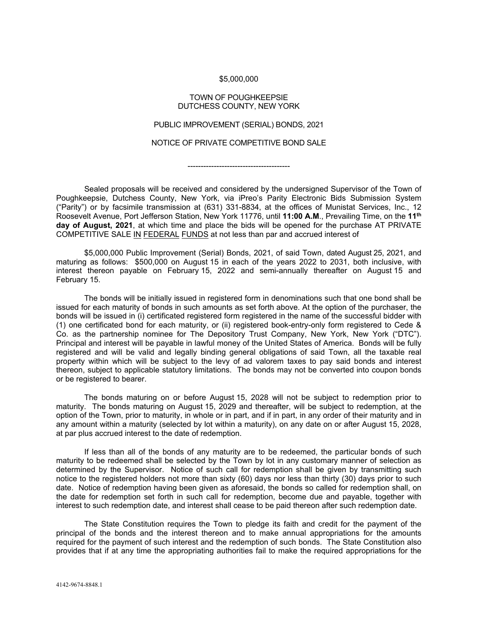## \$5,000,000

## TOWN OF POUGHKEEPSIE DUTCHESS COUNTY, NEW YORK

## PUBLIC IMPROVEMENT (SERIAL) BONDS, 2021

## NOTICE OF PRIVATE COMPETITIVE BOND SALE

---------------------------------------

Sealed proposals will be received and considered by the undersigned Supervisor of the Town of Poughkeepsie, Dutchess County, New York, via iPreo's Parity Electronic Bids Submission System ("Parity") or by facsimile transmission at (631) 331-8834, at the offices of Munistat Services, Inc., 12 Roosevelt Avenue, Port Jefferson Station, New York 11776, until **11:00 A.M**., Prevailing Time, on the **11th day of August, 2021**, at which time and place the bids will be opened for the purchase AT PRIVATE COMPETITIVE SALE IN FEDERAL FUNDS at not less than par and accrued interest of

\$5,000,000 Public Improvement (Serial) Bonds, 2021, of said Town, dated August 25, 2021, and maturing as follows: \$500,000 on August 15 in each of the years 2022 to 2031, both inclusive, with interest thereon payable on February 15, 2022 and semi-annually thereafter on August 15 and February 15.

The bonds will be initially issued in registered form in denominations such that one bond shall be issued for each maturity of bonds in such amounts as set forth above. At the option of the purchaser, the bonds will be issued in (i) certificated registered form registered in the name of the successful bidder with (1) one certificated bond for each maturity, or (ii) registered book-entry-only form registered to Cede & Co. as the partnership nominee for The Depository Trust Company, New York, New York ("DTC"). Principal and interest will be payable in lawful money of the United States of America. Bonds will be fully registered and will be valid and legally binding general obligations of said Town, all the taxable real property within which will be subject to the levy of ad valorem taxes to pay said bonds and interest thereon, subject to applicable statutory limitations. The bonds may not be converted into coupon bonds or be registered to bearer.

The bonds maturing on or before August 15, 2028 will not be subject to redemption prior to maturity. The bonds maturing on August 15, 2029 and thereafter, will be subject to redemption, at the option of the Town, prior to maturity, in whole or in part, and if in part, in any order of their maturity and in any amount within a maturity (selected by lot within a maturity), on any date on or after August 15, 2028, at par plus accrued interest to the date of redemption.

If less than all of the bonds of any maturity are to be redeemed, the particular bonds of such maturity to be redeemed shall be selected by the Town by lot in any customary manner of selection as determined by the Supervisor. Notice of such call for redemption shall be given by transmitting such notice to the registered holders not more than sixty (60) days nor less than thirty (30) days prior to such date. Notice of redemption having been given as aforesaid, the bonds so called for redemption shall, on the date for redemption set forth in such call for redemption, become due and payable, together with interest to such redemption date, and interest shall cease to be paid thereon after such redemption date.

The State Constitution requires the Town to pledge its faith and credit for the payment of the principal of the bonds and the interest thereon and to make annual appropriations for the amounts required for the payment of such interest and the redemption of such bonds. The State Constitution also provides that if at any time the appropriating authorities fail to make the required appropriations for the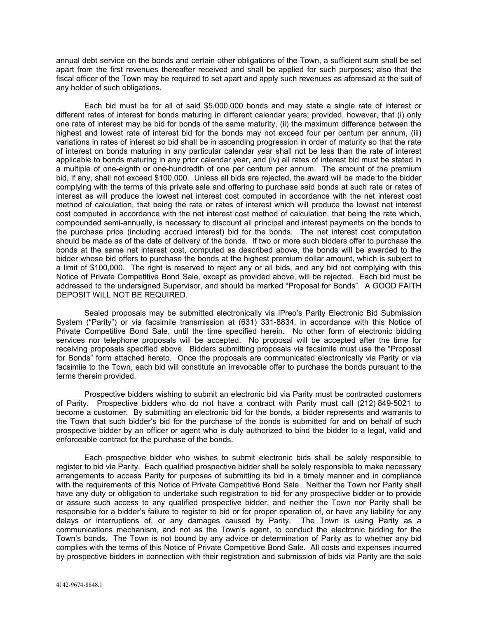annual debt service on the bonds and certain other obligations of the Town, a sufficient sum shall be set apart from the first revenues thereafter received and shall be applied for such purposes; also that the fiscal officer of the Town may be required to set apart and apply such revenues as aforesaid at the suit of any holder of such obligations.

Each bid must be for all of said \$5,000,000 bonds and may state a single rate of interest or different rates of interest for bonds maturing in different calendar years; provided, however, that (i) only one rate of interest may be bid for bonds of the same maturity, (ii) the maximum difference between the highest and lowest rate of interest bid for the bonds may not exceed four per centum per annum, (iii) variations in rates of interest so bid shall be in ascending progression in order of maturity so that the rate of interest on bonds maturing in any particular calendar year shall not be less than the rate of interest applicable to bonds maturing in any prior calendar year, and (iv) all rates of interest bid must be stated in a multiple of one-eighth or one-hundredth of one per centum per annum. The amount of the premium bid, if any, shall not exceed \$100,000. Unless all bids are rejected, the award will be made to the bidder complying with the terms of this private sale and offering to purchase said bonds at such rate or rates of interest as will produce the lowest net interest cost computed in accordance with the net interest cost method of calculation, that being the rate or rates of interest which will produce the lowest net interest cost computed in accordance with the net interest cost method of calculation, that being the rate which, compounded semi-annually, is necessary to discount all principal and interest payments on the bonds to the purchase price (including accrued interest) bid for the bonds. The net interest cost computation should be made as of the date of delivery of the bonds. If two or more such bidders offer to purchase the bonds at the same net interest cost, computed as described above, the bonds will be awarded to the bidder whose bid offers to purchase the bonds at the highest premium dollar amount, which is subject to a limit of \$100,000. The right is reserved to reject any or all bids, and any bid not complying with this Notice of Private Competitive Bond Sale, except as provided above, will be rejected. Each bid must be addressed to the undersigned Supervisor, and should be marked "Proposal for Bonds". A GOOD FAITH DEPOSIT WILL NOT BE REQUIRED.

Sealed proposals may be submitted electronically via iPreo's Parity Electronic Bid Submission System ("Parity") or via facsimile transmission at (631) 331-8834, in accordance with this Notice of Private Competitive Bond Sale, until the time specified herein. No other form of electronic bidding services nor telephone proposals will be accepted. No proposal will be accepted after the time for receiving proposals specified above. Bidders submitting proposals via facsimile must use the "Proposal for Bonds" form attached hereto. Once the proposals are communicated electronically via Parity or via facsimile to the Town, each bid will constitute an irrevocable offer to purchase the bonds pursuant to the terms therein provided.

Prospective bidders wishing to submit an electronic bid via Parity must be contracted customers of Parity. Prospective bidders who do not have a contract with Parity must call (212) 849-5021 to become a customer. By submitting an electronic bid for the bonds, a bidder represents and warrants to the Town that such bidder's bid for the purchase of the bonds is submitted for and on behalf of such prospective bidder by an officer or agent who is duly authorized to bind the bidder to a legal, valid and enforceable contract for the purchase of the bonds.

Each prospective bidder who wishes to submit electronic bids shall be solely responsible to register to bid via Parity. Each qualified prospective bidder shall be solely responsible to make necessary arrangements to access Parity for purposes of submitting its bid in a timely manner and in compliance with the requirements of this Notice of Private Competitive Bond Sale. Neither the Town nor Parity shall have any duty or obligation to undertake such registration to bid for any prospective bidder or to provide or assure such access to any qualified prospective bidder, and neither the Town nor Parity shall be responsible for a bidder's failure to register to bid or for proper operation of, or have any liability for any delays or interruptions of, or any damages caused by Parity. The Town is using Parity as a communications mechanism, and not as the Town's agent, to conduct the electronic bidding for the Town's bonds. The Town is not bound by any advice or determination of Parity as to whether any bid complies with the terms of this Notice of Private Competitive Bond Sale. All costs and expenses incurred by prospective bidders in connection with their registration and submission of bids via Parity are the sole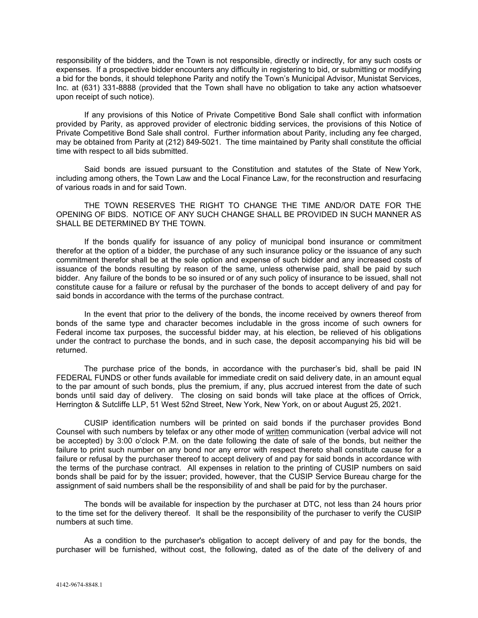responsibility of the bidders, and the Town is not responsible, directly or indirectly, for any such costs or expenses. If a prospective bidder encounters any difficulty in registering to bid, or submitting or modifying a bid for the bonds, it should telephone Parity and notify the Town's Municipal Advisor, Munistat Services, Inc. at (631) 331-8888 (provided that the Town shall have no obligation to take any action whatsoever upon receipt of such notice).

If any provisions of this Notice of Private Competitive Bond Sale shall conflict with information provided by Parity, as approved provider of electronic bidding services, the provisions of this Notice of Private Competitive Bond Sale shall control. Further information about Parity, including any fee charged, may be obtained from Parity at (212) 849-5021. The time maintained by Parity shall constitute the official time with respect to all bids submitted.

Said bonds are issued pursuant to the Constitution and statutes of the State of New York, including among others, the Town Law and the Local Finance Law, for the reconstruction and resurfacing of various roads in and for said Town.

THE TOWN RESERVES THE RIGHT TO CHANGE THE TIME AND/OR DATE FOR THE OPENING OF BIDS. NOTICE OF ANY SUCH CHANGE SHALL BE PROVIDED IN SUCH MANNER AS SHALL BE DETERMINED BY THE TOWN.

If the bonds qualify for issuance of any policy of municipal bond insurance or commitment therefor at the option of a bidder, the purchase of any such insurance policy or the issuance of any such commitment therefor shall be at the sole option and expense of such bidder and any increased costs of issuance of the bonds resulting by reason of the same, unless otherwise paid, shall be paid by such bidder. Any failure of the bonds to be so insured or of any such policy of insurance to be issued, shall not constitute cause for a failure or refusal by the purchaser of the bonds to accept delivery of and pay for said bonds in accordance with the terms of the purchase contract.

In the event that prior to the delivery of the bonds, the income received by owners thereof from bonds of the same type and character becomes includable in the gross income of such owners for Federal income tax purposes, the successful bidder may, at his election, be relieved of his obligations under the contract to purchase the bonds, and in such case, the deposit accompanying his bid will be returned.

The purchase price of the bonds, in accordance with the purchaser's bid, shall be paid IN FEDERAL FUNDS or other funds available for immediate credit on said delivery date, in an amount equal to the par amount of such bonds, plus the premium, if any, plus accrued interest from the date of such bonds until said day of delivery. The closing on said bonds will take place at the offices of Orrick, Herrington & Sutcliffe LLP, 51 West 52nd Street, New York, New York, on or about August 25, 2021.

CUSIP identification numbers will be printed on said bonds if the purchaser provides Bond Counsel with such numbers by telefax or any other mode of written communication (verbal advice will not be accepted) by 3:00 o'clock P.M. on the date following the date of sale of the bonds, but neither the failure to print such number on any bond nor any error with respect thereto shall constitute cause for a failure or refusal by the purchaser thereof to accept delivery of and pay for said bonds in accordance with the terms of the purchase contract. All expenses in relation to the printing of CUSIP numbers on said bonds shall be paid for by the issuer; provided, however, that the CUSIP Service Bureau charge for the assignment of said numbers shall be the responsibility of and shall be paid for by the purchaser.

The bonds will be available for inspection by the purchaser at DTC, not less than 24 hours prior to the time set for the delivery thereof. It shall be the responsibility of the purchaser to verify the CUSIP numbers at such time.

As a condition to the purchaser's obligation to accept delivery of and pay for the bonds, the purchaser will be furnished, without cost, the following, dated as of the date of the delivery of and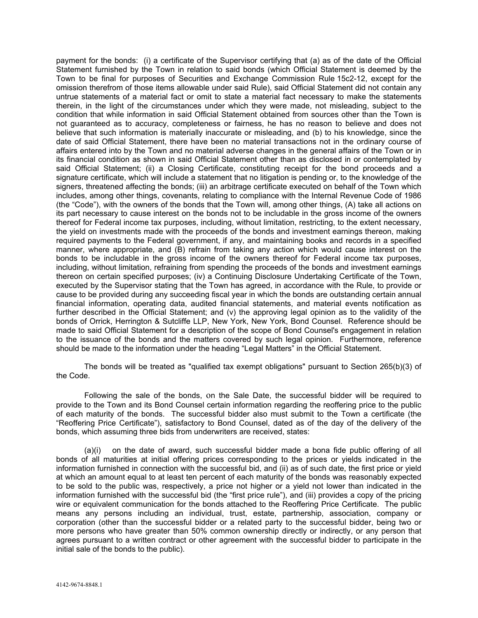payment for the bonds: (i) a certificate of the Supervisor certifying that (a) as of the date of the Official Statement furnished by the Town in relation to said bonds (which Official Statement is deemed by the Town to be final for purposes of Securities and Exchange Commission Rule 15c2-12, except for the omission therefrom of those items allowable under said Rule), said Official Statement did not contain any untrue statements of a material fact or omit to state a material fact necessary to make the statements therein, in the light of the circumstances under which they were made, not misleading, subject to the condition that while information in said Official Statement obtained from sources other than the Town is not guaranteed as to accuracy, completeness or fairness, he has no reason to believe and does not believe that such information is materially inaccurate or misleading, and (b) to his knowledge, since the date of said Official Statement, there have been no material transactions not in the ordinary course of affairs entered into by the Town and no material adverse changes in the general affairs of the Town or in its financial condition as shown in said Official Statement other than as disclosed in or contemplated by said Official Statement; (ii) a Closing Certificate, constituting receipt for the bond proceeds and a signature certificate, which will include a statement that no litigation is pending or, to the knowledge of the signers, threatened affecting the bonds; (iii) an arbitrage certificate executed on behalf of the Town which includes, among other things, covenants, relating to compliance with the Internal Revenue Code of 1986 (the "Code"), with the owners of the bonds that the Town will, among other things, (A) take all actions on its part necessary to cause interest on the bonds not to be includable in the gross income of the owners thereof for Federal income tax purposes, including, without limitation, restricting, to the extent necessary, the yield on investments made with the proceeds of the bonds and investment earnings thereon, making required payments to the Federal government, if any, and maintaining books and records in a specified manner, where appropriate, and (B) refrain from taking any action which would cause interest on the bonds to be includable in the gross income of the owners thereof for Federal income tax purposes, including, without limitation, refraining from spending the proceeds of the bonds and investment earnings thereon on certain specified purposes; (iv) a Continuing Disclosure Undertaking Certificate of the Town, executed by the Supervisor stating that the Town has agreed, in accordance with the Rule, to provide or cause to be provided during any succeeding fiscal year in which the bonds are outstanding certain annual financial information, operating data, audited financial statements, and material events notification as further described in the Official Statement; and (v) the approving legal opinion as to the validity of the bonds of Orrick, Herrington & Sutcliffe LLP, New York, New York, Bond Counsel. Reference should be made to said Official Statement for a description of the scope of Bond Counsel's engagement in relation to the issuance of the bonds and the matters covered by such legal opinion. Furthermore, reference should be made to the information under the heading "Legal Matters" in the Official Statement.

The bonds will be treated as "qualified tax exempt obligations" pursuant to Section 265(b)(3) of the Code.

Following the sale of the bonds, on the Sale Date, the successful bidder will be required to provide to the Town and its Bond Counsel certain information regarding the reoffering price to the public of each maturity of the bonds. The successful bidder also must submit to the Town a certificate (the "Reoffering Price Certificate"), satisfactory to Bond Counsel, dated as of the day of the delivery of the bonds, which assuming three bids from underwriters are received, states:

(a)(i) on the date of award, such successful bidder made a bona fide public offering of all bonds of all maturities at initial offering prices corresponding to the prices or yields indicated in the information furnished in connection with the successful bid, and (ii) as of such date, the first price or yield at which an amount equal to at least ten percent of each maturity of the bonds was reasonably expected to be sold to the public was, respectively, a price not higher or a yield not lower than indicated in the information furnished with the successful bid (the "first price rule"), and (iii) provides a copy of the pricing wire or equivalent communication for the bonds attached to the Reoffering Price Certificate. The public means any persons including an individual, trust, estate, partnership, association, company or corporation (other than the successful bidder or a related party to the successful bidder, being two or more persons who have greater than 50% common ownership directly or indirectly, or any person that agrees pursuant to a written contract or other agreement with the successful bidder to participate in the initial sale of the bonds to the public).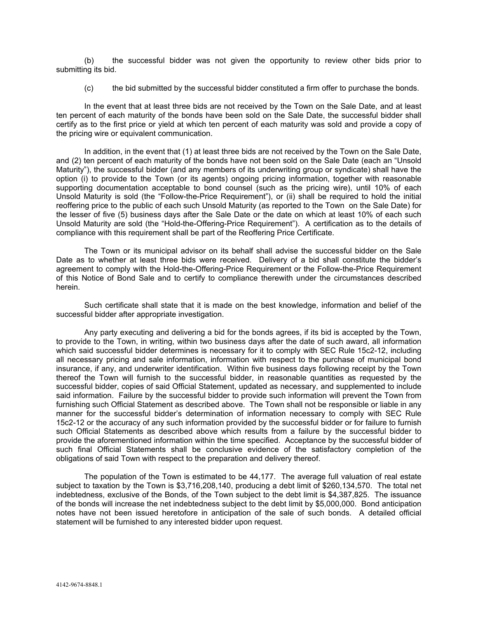(b) the successful bidder was not given the opportunity to review other bids prior to submitting its bid.

(c) the bid submitted by the successful bidder constituted a firm offer to purchase the bonds.

In the event that at least three bids are not received by the Town on the Sale Date, and at least ten percent of each maturity of the bonds have been sold on the Sale Date, the successful bidder shall certify as to the first price or yield at which ten percent of each maturity was sold and provide a copy of the pricing wire or equivalent communication.

In addition, in the event that (1) at least three bids are not received by the Town on the Sale Date, and (2) ten percent of each maturity of the bonds have not been sold on the Sale Date (each an "Unsold Maturity"), the successful bidder (and any members of its underwriting group or syndicate) shall have the option (i) to provide to the Town (or its agents) ongoing pricing information, together with reasonable supporting documentation acceptable to bond counsel (such as the pricing wire), until 10% of each Unsold Maturity is sold (the "Follow-the-Price Requirement"), or (ii) shall be required to hold the initial reoffering price to the public of each such Unsold Maturity (as reported to the Town on the Sale Date) for the lesser of five (5) business days after the Sale Date or the date on which at least 10% of each such Unsold Maturity are sold (the "Hold-the-Offering-Price Requirement"). A certification as to the details of compliance with this requirement shall be part of the Reoffering Price Certificate.

The Town or its municipal advisor on its behalf shall advise the successful bidder on the Sale Date as to whether at least three bids were received. Delivery of a bid shall constitute the bidder's agreement to comply with the Hold-the-Offering-Price Requirement or the Follow-the-Price Requirement of this Notice of Bond Sale and to certify to compliance therewith under the circumstances described herein.

Such certificate shall state that it is made on the best knowledge, information and belief of the successful bidder after appropriate investigation.

Any party executing and delivering a bid for the bonds agrees, if its bid is accepted by the Town, to provide to the Town, in writing, within two business days after the date of such award, all information which said successful bidder determines is necessary for it to comply with SEC Rule 15c2-12, including all necessary pricing and sale information, information with respect to the purchase of municipal bond insurance, if any, and underwriter identification. Within five business days following receipt by the Town thereof the Town will furnish to the successful bidder, in reasonable quantities as requested by the successful bidder, copies of said Official Statement, updated as necessary, and supplemented to include said information. Failure by the successful bidder to provide such information will prevent the Town from furnishing such Official Statement as described above. The Town shall not be responsible or liable in any manner for the successful bidder's determination of information necessary to comply with SEC Rule 15c2-12 or the accuracy of any such information provided by the successful bidder or for failure to furnish such Official Statements as described above which results from a failure by the successful bidder to provide the aforementioned information within the time specified. Acceptance by the successful bidder of such final Official Statements shall be conclusive evidence of the satisfactory completion of the obligations of said Town with respect to the preparation and delivery thereof.

The population of the Town is estimated to be 44,177. The average full valuation of real estate subject to taxation by the Town is \$3,716,208,140, producing a debt limit of \$260,134,570. The total net indebtedness, exclusive of the Bonds, of the Town subject to the debt limit is \$4,387,825. The issuance of the bonds will increase the net indebtedness subject to the debt limit by \$5,000,000. Bond anticipation notes have not been issued heretofore in anticipation of the sale of such bonds. A detailed official statement will be furnished to any interested bidder upon request.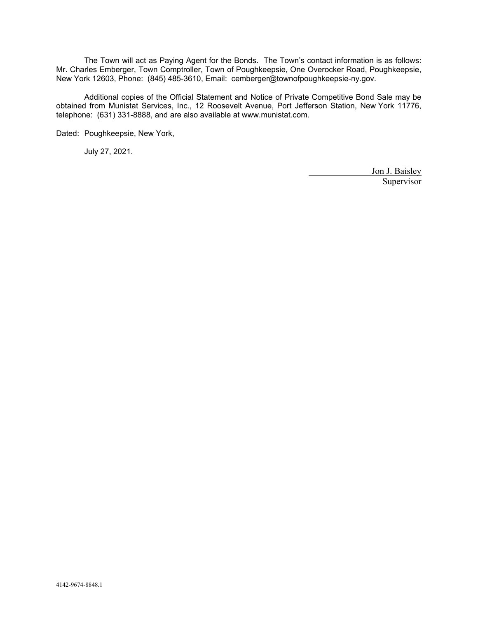The Town will act as Paying Agent for the Bonds. The Town's contact information is as follows: Mr. Charles Emberger, Town Comptroller, Town of Poughkeepsie, One Overocker Road, Poughkeepsie, New York 12603, Phone: (845) 485-3610, Email: cemberger@townofpoughkeepsie-ny.gov.

Additional copies of the Official Statement and Notice of Private Competitive Bond Sale may be obtained from Munistat Services, Inc., 12 Roosevelt Avenue, Port Jefferson Station, New York 11776, telephone: (631) 331-8888, and are also available at www.munistat.com.

Dated: Poughkeepsie, New York,

July 27, 2021.

Jon J. Baisley Supervisor